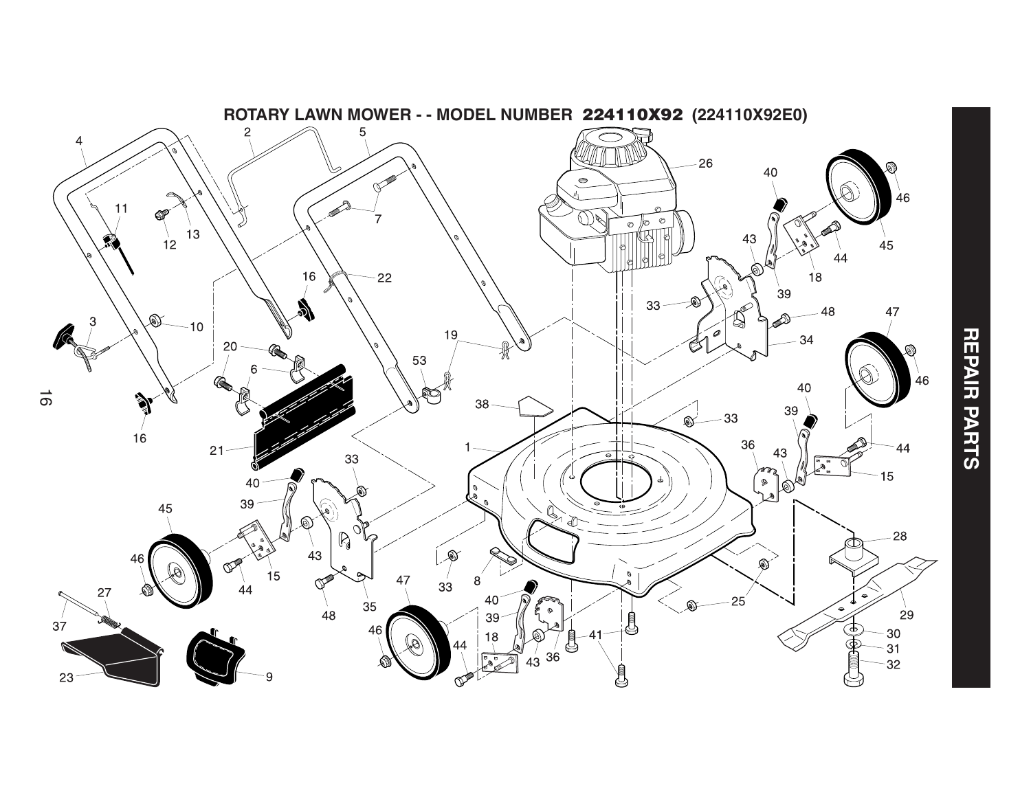

**REPAIR PARTS REPAIR PARTS**